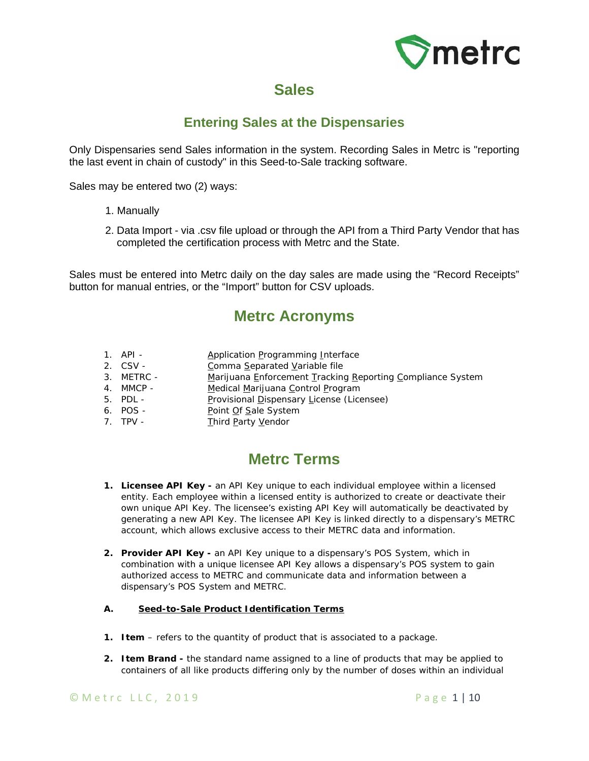

# **Sales**

## **Entering Sales at the Dispensaries**

Only Dispensaries send Sales information in the system. Recording Sales in Metrc is "reporting the last event in chain of custody" in this Seed-to-Sale tracking software.

Sales may be entered two (2) ways:

- 1. Manually
- 2. Data Import via .csv file upload or through the API from a Third Party Vendor that has completed the certification process with Metrc and the State.

Sales must be entered into Metrc daily on the day sales are made using the "Record Receipts" button for manual entries, or the "Import" button for CSV uploads.

## **Metrc Acronyms**

- 1. API Application Programming Interface
- 2. CSV Comma Separated Variable file
- 3. METRC Marijuana Enforcement Tracking Reporting Compliance *System*
- 4. MMCP Medical Marijuana Control Program
- 5. PDL Provisional Dispensary License (Licensee)
- 6. POS Point Of Sale *System*
- 7. TPV Third Party Vendor

# **Metrc Terms**

- **1. Licensee API Key -** an API Key unique to each individual employee within a licensed entity. Each employee within a licensed entity is authorized to create or deactivate their own unique API Key. The licensee's existing API Key will automatically be deactivated by generating a new API Key. The licensee API Key is linked directly to a dispensary's METRC account, which allows exclusive access to their METRC data and information.
- **2. Provider API Key -** an API Key unique to a dispensary's POS System, which in combination with a unique licensee API Key allows a dispensary's POS system to gain authorized access to METRC and communicate data and information between a dispensary's POS System and METRC.

#### **A. Seed-to-Sale Product Identification Terms**

- **1. Item** refers to the quantity of product that is associated to a package.
- **2. Item Brand -** the standard name assigned to a line of products that may be applied to containers of all like products differing only by the number of doses within an individual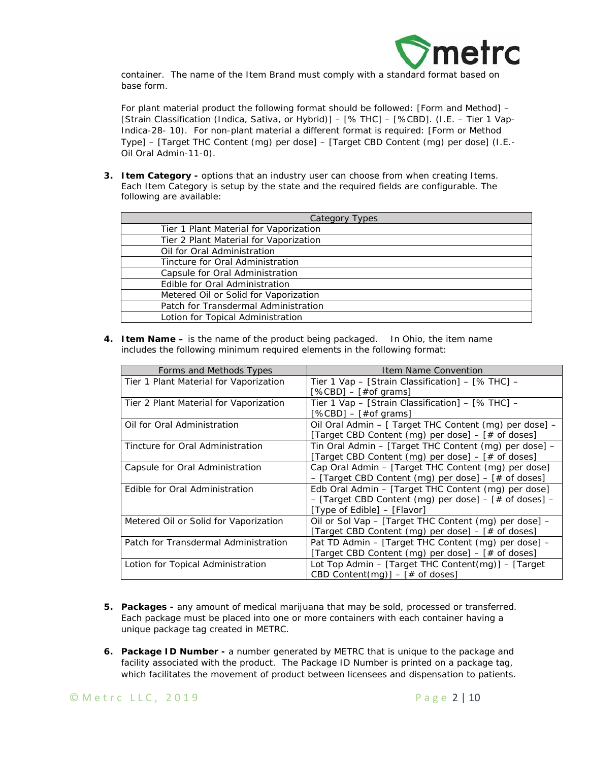

container. The name of the Item Brand must comply with a standard format based on base form.

For plant material product the following format should be followed: [Form and Method] – [Strain Classification (Indica, Sativa, or Hybrid)] – [% THC] – [%CBD]. (I.E. – Tier 1 Vap-Indica-28- 10). For non-plant material a different format is required: [Form or Method Type] – [Target THC Content (mg) per dose] – [Target CBD Content (mg) per dose] (*I.E.- Oil Oral Admin-11-0)*.

**3. Item Category -** options that an industry user can choose from when creating Items. Each Item Category is setup by the state and the required fields are configurable. The following are available:

| Category<br>Types                      |  |  |  |
|----------------------------------------|--|--|--|
| Tier 1 Plant Material for Vaporization |  |  |  |
| Tier 2 Plant Material for Vaporization |  |  |  |
| Oil for Oral Administration            |  |  |  |
| Tincture for Oral Administration       |  |  |  |
| Capsule for Oral Administration        |  |  |  |
| Edible for Oral Administration         |  |  |  |
| Metered Oil or Solid for Vaporization  |  |  |  |
| Patch for Transdermal Administration   |  |  |  |
| Lotion for Topical Administration      |  |  |  |

**4. Item Name –** is the name of the product being packaged. In Ohio, the item name includes the following minimum required elements in the following format:

| Forms and Methods Types                | Item Name Convention                                        |
|----------------------------------------|-------------------------------------------------------------|
| Tier 1 Plant Material for Vaporization | Tier 1 Vap - [Strain Classification] - [% THC] -            |
|                                        | [%CBD] – [#of grams]                                        |
| Tier 2 Plant Material for Vaporization | Tier 1 Vap - [Strain Classification] - [% THC] -            |
|                                        | $[%CBD] - [#of grams]$                                      |
| Oil for Oral Administration            | Oil Oral Admin – [ Target THC Content (mg) per dose] –      |
|                                        | [Target CBD Content (mg) per dose] $-$ [# of doses]         |
| Tincture for Oral Administration       | Tin Oral Admin - [Target THC Content (mg) per dose] -       |
|                                        | [Target CBD Content (mg) per dose] – [# of doses]           |
| Capsule for Oral Administration        | Cap Oral Admin - [Target THC Content (mg) per dose]         |
|                                        | - [Target CBD Content (mg) per dose] - [# of doses]         |
| Edible for Oral Administration         | Edb Oral Admin - [Target THC Content (mg) per dose]         |
|                                        | $-$ [Target CBD Content (mg) per dose] $-$ [# of doses] $-$ |
|                                        | [Type of Edible] - [Flavor]                                 |
| Metered Oil or Solid for Vaporization  | Oil or Sol Vap - [Target THC Content (mg) per dose] -       |
|                                        | [Target CBD Content (mg) per dose] – [# of doses]           |
| Patch for Transdermal Administration   | Pat TD Admin - [Target THC Content (mg) per dose] -         |
|                                        | [Target CBD Content (mg) per dose] - [# of doses]           |
| Lotion for Topical Administration      | Lot Top Admin - [Target THC Content(mg)] - [Target          |
|                                        | CBD Content(mg)] $-$ [# of doses]                           |

- **5. Packages -** any amount of medical marijuana that may be sold, processed or transferred. Each package must be placed into one or more containers with each container having a unique package tag created in METRC.
- **6. Package ID Number -** a number generated by METRC that is unique to the package and facility associated with the product. The Package ID Number is printed on a package tag, which facilitates the movement of product between licensees and dispensation to patients.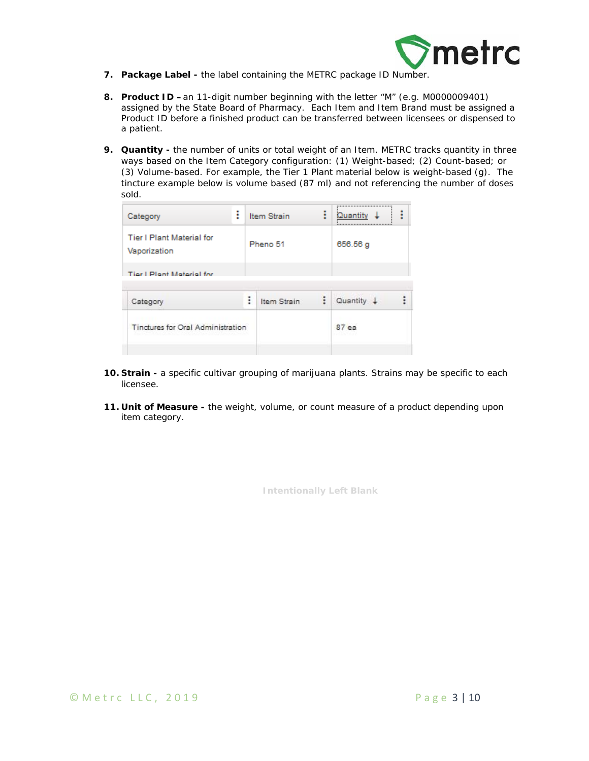

- **7. Package Label -** the label containing the METRC package ID Number.
- **8. Product ID –**an 11-digit number beginning with the letter "M" (e.g. M0000009401) assigned by the State Board of Pharmacy. Each Item and Item Brand must be assigned a Product ID before a finished product can be transferred between licensees or dispensed to a patient.
- **9. Quantity** the number of units or total weight of an Item. METRC tracks quantity in three ways based on the Item Category configuration: (1) Weight-based; (2) Count-based; or (3) Volume-based. For example, the Tier 1 Plant material below is weight-based (g). The tincture example below is volume based (87 ml) and not referencing the number of doses sold.

| Category                                         | ٠<br>÷ |   | Item Strain | ŧ | <br>Quantity<br> | i |
|--------------------------------------------------|--------|---|-------------|---|------------------|---|
| <b>Tier I Plant Material for</b><br>Vaporization |        |   | Pheno 51    |   | 656.56g          |   |
| Tier I Plant Material for                        |        |   |             |   |                  |   |
| Category                                         |        | ÷ | Item Strain | ÷ | $Quantity +$     |   |
| Tinctures for Oral Administration                |        |   |             |   | $87e$ a          |   |

- **10. Strain -** a specific cultivar grouping of marijuana plants. Strains may be specific to each licensee.
- **11. Unit of Measure -** the weight, volume, or count measure of a product depending upon item category.

**Intentionally Left Blank** 

 $\degree$  Metrc LLC, 2019  $\degree$  Page 3 | 10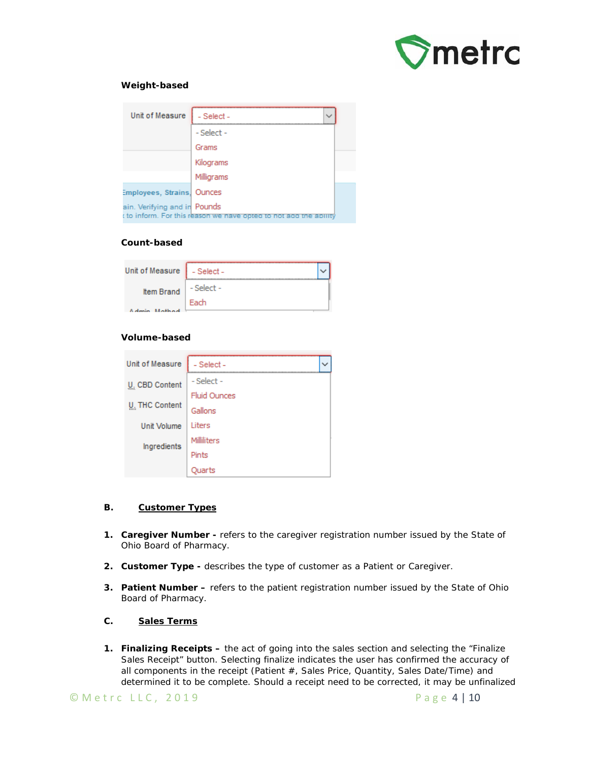

#### **Weight-based**

| Unit of Measure              | - Select -                                                        |  |
|------------------------------|-------------------------------------------------------------------|--|
|                              | - Select -                                                        |  |
|                              | Grams                                                             |  |
|                              | Kilograms                                                         |  |
|                              | Milligrams                                                        |  |
| Employees, Strains, Ounces   |                                                                   |  |
| ain. Verifying and in Pounds | t to inform. For this reason we nave opted to not ago the ability |  |

#### **Count-based**

| Unit of Measure   - Select - |            |  |
|------------------------------|------------|--|
| <b>Item Brand</b>            | - Select - |  |
| Admin Mathad                 | Fach       |  |

#### **Volume-based**

| Unit of Measure       | - Select -          |  |  |  |  |
|-----------------------|---------------------|--|--|--|--|
| U. CBD Content        | - Select -          |  |  |  |  |
|                       | <b>Fluid Ounces</b> |  |  |  |  |
| <b>U. THC Content</b> | Gallons             |  |  |  |  |
| Unit Volume           | Liters              |  |  |  |  |
| Ingredients           | Milliliters         |  |  |  |  |
|                       | Pints               |  |  |  |  |
|                       |                     |  |  |  |  |

#### **B. Customer Types**

- **1. Caregiver Number -** refers to the caregiver registration number issued by the State of Ohio Board of Pharmacy.
- **2. Customer Type -** describes the type of customer as a Patient or Caregiver.
- **3. Patient Number –** refers to the patient registration number issued by the State of Ohio Board of Pharmacy.

#### **C. Sales Terms**

**1. Finalizing Receipts –** the act of going into the sales section and selecting the "Finalize Sales Receipt" button. Selecting finalize indicates the user has confirmed the accuracy of all components in the receipt (Patient #, Sales Price, Quantity, Sales Date/Time) and determined it to be complete. Should a receipt need to be corrected, it may be unfinalized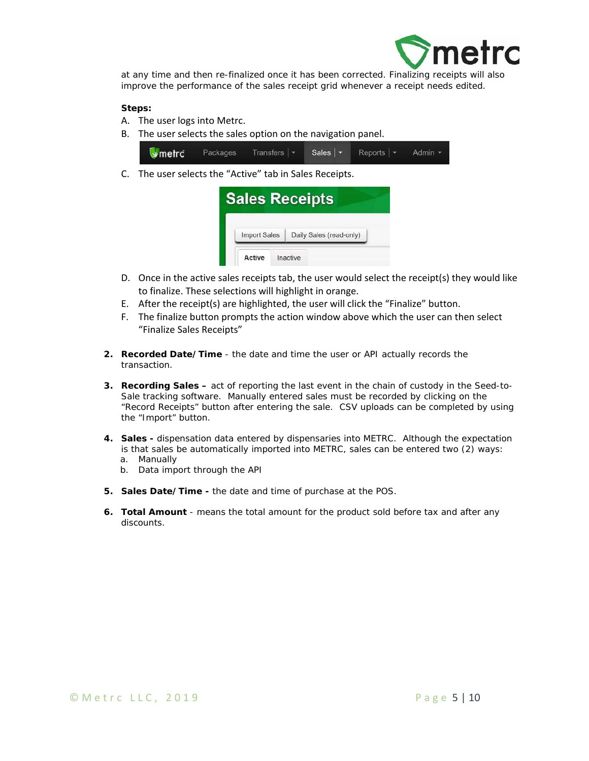

at any time and then re-finalized once it has been corrected. Finalizing receipts will also improve the performance of the sales receipt grid whenever a receipt needs edited.

#### **Steps:**

- A. The user logs into Metrc.
- B. The user selects the sales option on the navigation panel.



C. The user selects the "Active" tab in Sales Receipts.

| <b>Sales Receipts</b> |          |                         |  |
|-----------------------|----------|-------------------------|--|
| <b>Import Sales</b>   |          | Daily Sales (read-only) |  |
| Active                | Inactive |                         |  |

- D. Once in the active sales receipts tab, the user would select the receipt(s) they would like to finalize. These selections will highlight in orange.
- E. After the receipt(s) are highlighted, the user will click the "Finalize" button.
- F. The finalize button prompts the action window above which the user can then select "Finalize Sales Receipts"
- **2. Recorded Date/Time**  the date and time the user or API actually records the transaction.
- **3. Recording Sales** act of reporting the last event in the chain of custody in the Seed-to-Sale tracking software. Manually entered sales must be recorded by clicking on the "Record Receipts" button after entering the sale. CSV uploads can be completed by using the "Import" button.
- **4. Sales** dispensation data entered by dispensaries into METRC. Although the expectation is that sales be automatically imported into METRC, sales can be entered two (2) ways:
	- a. Manually
	- b. Data import through the API
- **5. Sales Date/Time -** the date and time of purchase at the POS.
- **6. Total Amount** means the total amount for the product sold before tax and after any discounts.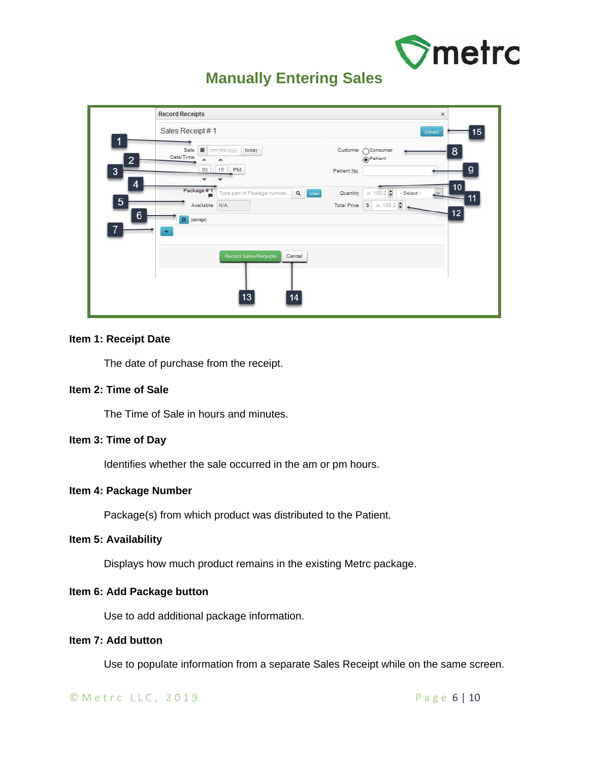

# **Manually Entering Sales**

|                                        | Sales Receipt #1                           |                                                        |                                         |                        | 15<br>(dear)   |
|----------------------------------------|--------------------------------------------|--------------------------------------------------------|-----------------------------------------|------------------------|----------------|
| $\overline{2}$<br>$\overline{3}$       | 画<br>Sale<br>Date/Time<br>03               | today<br>mm/dd/yyyy<br>: 15 PM                         | Customer / Consumer<br>Patient No.      | <sup>O</sup> Patient   | 8<br>9         |
| 4<br>$\overline{5}$<br>$6\phantom{1}6$ | Package #1<br>Available N/A<br>O (package) | $\mathbf{Q}$<br>Type part of Package number<br>(clean) | Quantity<br>Total Price   \$   8. 100.2 | x. 100.2<br>- Select - | 10<br>11<br>12 |
| $\overline{7}$                         | $\ddot{}$                                  | Record Sales Receipts<br>Cancel                        |                                         |                        |                |
|                                        |                                            | 13<br>14                                               |                                         |                        |                |

## **Item 1: Receipt Date**

The date of purchase from the receipt.

## **Item 2: Time of Sale**

The Time of Sale in hours and minutes.

## **Item 3: Time of Day**

Identifies whether the sale occurred in the am or pm hours.

#### **Item 4: Package Number**

Package(s) from which product was distributed to the Patient.

## **Item 5: Availability**

Displays how much product remains in the existing Metrc package.

#### **Item 6: Add Package button**

Use to add additional package information.

## **Item 7: Add button**

Use to populate information from a separate Sales Receipt while on the same screen.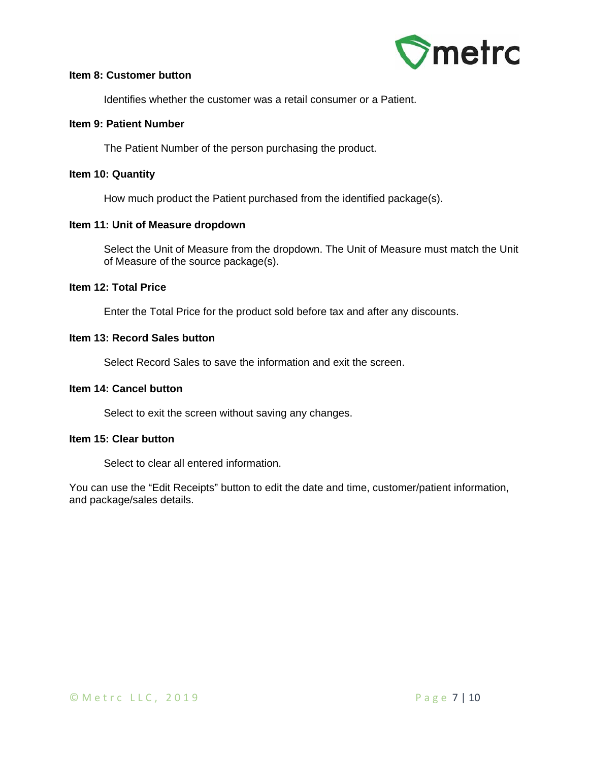

## **Item 8: Customer button**

Identifies whether the customer was a retail consumer or a Patient.

## **Item 9: Patient Number**

The Patient Number of the person purchasing the product.

## **Item 10: Quantity**

How much product the Patient purchased from the identified package(s).

## **Item 11: Unit of Measure dropdown**

Select the Unit of Measure from the dropdown. The Unit of Measure must match the Unit of Measure of the source package(s).

## **Item 12: Total Price**

Enter the Total Price for the product sold before tax and after any discounts.

#### **Item 13: Record Sales button**

Select Record Sales to save the information and exit the screen.

#### **Item 14: Cancel button**

Select to exit the screen without saving any changes.

## **Item 15: Clear button**

Select to clear all entered information.

You can use the "Edit Receipts" button to edit the date and time, customer/patient information, and package/sales details.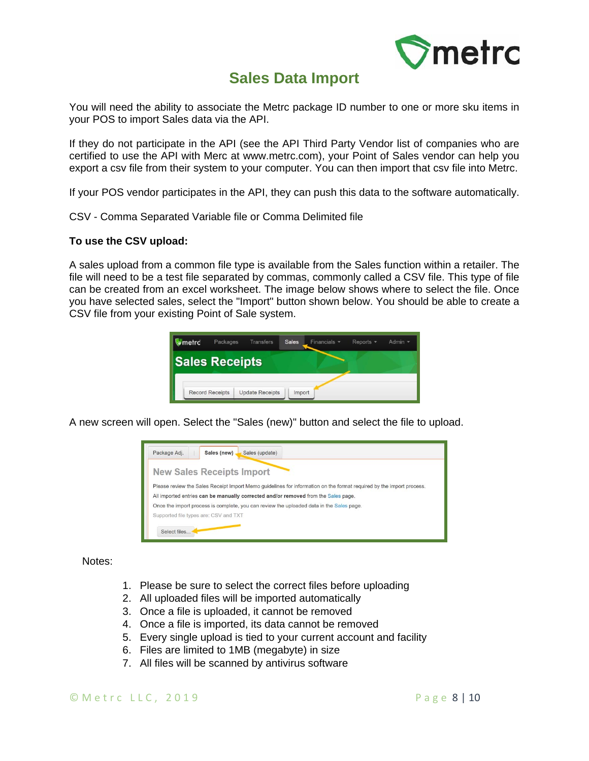

## **Sales Data Import**

You will need the ability to associate the Metrc package ID number to one or more sku items in your POS to import Sales data via the API.

If they do not participate in the API (see the API Third Party Vendor list of companies who are certified to use the API with Merc at www.metrc.com), your Point of Sales vendor can help you export a csv file from their system to your computer. You can then import that csv file into Metrc.

If your POS vendor participates in the API, they can push this data to the software automatically.

CSV - Comma Separated Variable file or Comma Delimited file

## **To use the CSV upload:**

A sales upload from a common file type is available from the Sales function within a retailer. The file will need to be a test file separated by commas, commonly called a CSV file. This type of file can be created from an excel worksheet. The image below shows where to select the file. Once you have selected sales, select the "Import" button shown below. You should be able to create a CSV file from your existing Point of Sale system.



A new screen will open. Select the "Sales (new)" button and select the file to upload.



Notes:

- 1. Please be sure to select the correct files before uploading
- 2. All uploaded files will be imported automatically
- 3. Once a file is uploaded, it cannot be removed
- 4. Once a file is imported, its data cannot be removed
- 5. Every single upload is tied to your current account and facility
- 6. Files are limited to 1MB (megabyte) in size
- 7. All files will be scanned by antivirus software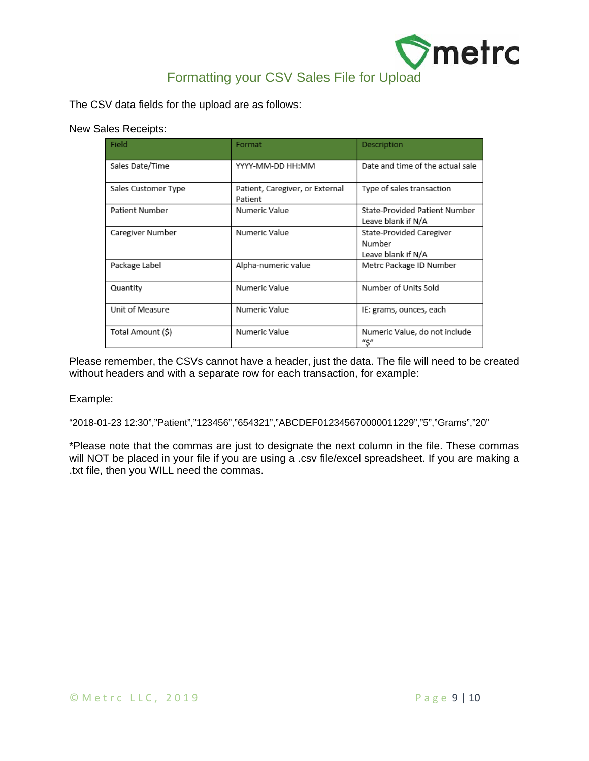

The CSV data fields for the upload are as follows:

New Sales Receipts:

| Field               | Format                                     | Description                                              |
|---------------------|--------------------------------------------|----------------------------------------------------------|
| Sales Date/Time     | YYYY-MM-DD HH:MM                           | Date and time of the actual sale                         |
| Sales Customer Type | Patient, Caregiver, or External<br>Patient | Type of sales transaction                                |
| Patient Number      | Numeric Value                              | State-Provided Patient Number<br>Leave blank if N/A      |
| Caregiver Number    | Numeric Value                              | State-Provided Caregiver<br>Number<br>Leave blank if N/A |
| Package Label       | Alpha-numeric value                        | Metrc Package ID Number                                  |
| Quantity            | Numeric Value                              | Number of Units Sold                                     |
| Unit of Measure     | Numeric Value                              | IE: grams, ounces, each                                  |
| Total Amount (\$)   | Numeric Value                              | Numeric Value, do not include<br>"\$"                    |

Please remember, the CSVs cannot have a header, just the data. The file will need to be created without headers and with a separate row for each transaction, for example:

Example:

"2018-01-23 12:30","Patient","123456","654321","ABCDEF012345670000011229","5","Grams","20"

\*Please note that the commas are just to designate the next column in the file. These commas will NOT be placed in your file if you are using a .csv file/excel spreadsheet. If you are making a .txt file, then you WILL need the commas.